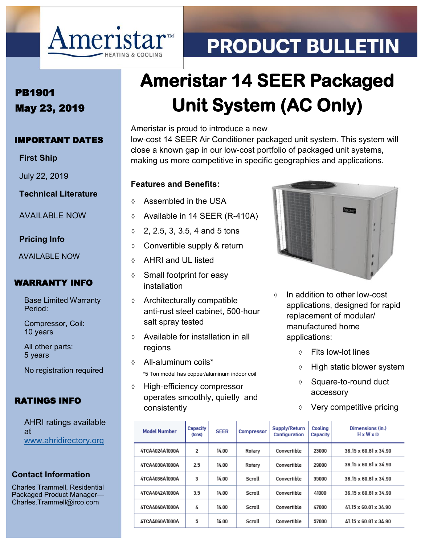

# **PRODUCT BULLETIN**

### PB1901 May 23, 2019

#### IMPORTANT DATES

**First Ship**

July 22, 2019

**Technical Literature**

AVAILABLE NOW

#### **Pricing Info**

AVAILABLE NOW

#### WARRANTY INFO

Base Limited Warranty Period:

Compressor, Coil: 10 years

All other parts: 5 years

No registration required

#### RATINGS INFO

AHRI ratings available at [www.ahridirectory.org](http://ahridirectory.org)

#### **Contact Information**

Charles Trammell, Residential Packaged Product Manager— Charles.Trammell@irco.com

## **Ameristar 14 SEER Packaged Unit System (AC Only)**

Ameristar is proud to introduce a new low-cost 14 SEER Air Conditioner packaged unit system. This system will close a known gap in our low-cost portfolio of packaged unit systems, making us more competitive in specific geographies and applications.

#### **Features and Benefits:**

- ♦ Assembled in the USA
- Available in 14 SEER (R-410A)
- $0, 2, 2.5, 3, 3.5, 4,$  and 5 tons
- Convertible supply & return
- AHRI and UL listed
- $\diamond$  Small footprint for easy installation
- $\Diamond$  Architecturally compatible anti-rust steel cabinet, 500-hour salt spray tested
- $\Diamond$  Available for installation in all regions
- All-aluminum coils\* \*5 Ton model has copper/aluminum indoor coil
- High-efficiency compressor operates smoothly, quietly and consistently



- $\Diamond$  In addition to other low-cost applications, designed for rapid replacement of modular/ manufactured home applications:
	- Fits low-lot lines
	- $\Diamond$  High static blower system
	- ♦ Square-to-round duct accessory
	- Very competitive pricing

| Capacity<br>(fons) | <b>SEER</b> | Compressor | Supply/Return<br>Configuration | Cooling<br>Capacity | Dimensions (in.)<br>$H \times W \times D$ |
|--------------------|-------------|------------|--------------------------------|---------------------|-------------------------------------------|
| 2                  | 14.00       | Rotary     | Convertible                    | 23000               | 36.15 x 60.81 x 34.90                     |
| 2.5                | 14.00       | Rotary     | Convertible                    | 29000               | 36 15 x 60 81 x 34 90                     |
| 3                  | 14.00       | Scroll     | Convertible                    | 35000               | 36.15 x 60.81 x 34.90                     |
| 3.5                | 14.00       | Scroll     | Convertible                    | 41000               | 36.15 x 60.81 x 34.90                     |
| 4                  | 14.00       | Scroll     | Convertible                    | 47000               | 41.15 x 60.81 x 34.90                     |
| 5                  | 14.00       | Scroll     | Convertible                    | 57000               | 41.15 x 60.81 x 34.90                     |
|                    |             |            |                                |                     |                                           |